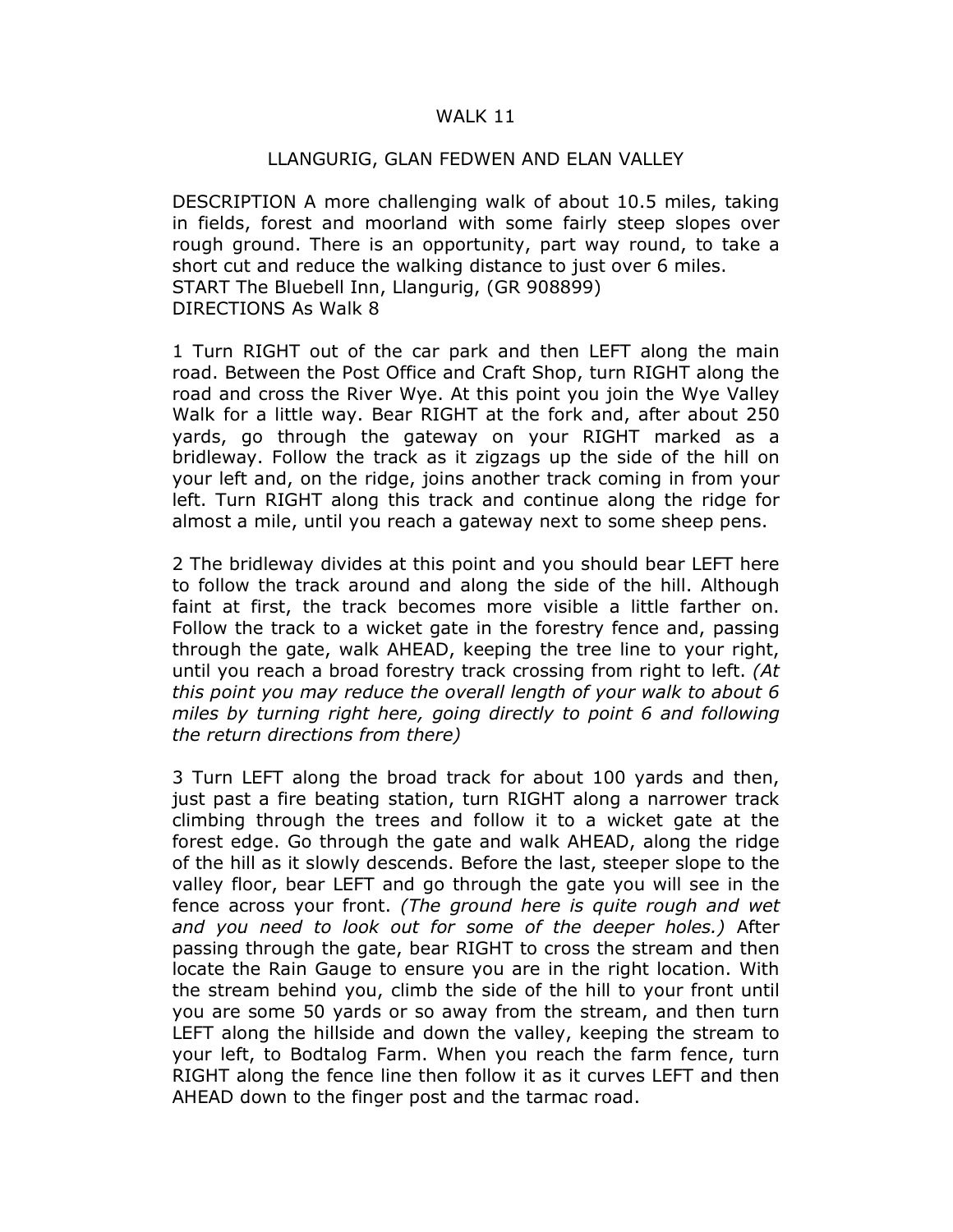## WALK 11

## LLANGURIG, GLAN FEDWEN AND ELAN VALLEY

DESCRIPTION A more challenging walk of about 10.5 miles, taking in fields, forest and moorland with some fairly steep slopes over rough ground. There is an opportunity, part way round, to take a short cut and reduce the walking distance to just over 6 miles. START The Bluebell Inn, Llangurig, (GR 908899) DIRECTIONS As Walk 8

1 Turn RIGHT out of the car park and then LEFT along the main road. Between the Post Office and Craft Shop, turn RIGHT along the road and cross the River Wye. At this point you join the Wye Valley Walk for a little way. Bear RIGHT at the fork and, after about 250 yards, go through the gateway on your RIGHT marked as a bridleway. Follow the track as it zigzags up the side of the hill on your left and, on the ridge, joins another track coming in from your left. Turn RIGHT along this track and continue along the ridge for almost a mile, until you reach a gateway next to some sheep pens.

2 The bridleway divides at this point and you should bear LEFT here to follow the track around and along the side of the hill. Although faint at first, the track becomes more visible a little farther on. Follow the track to a wicket gate in the forestry fence and, passing through the gate, walk AHEAD, keeping the tree line to your right, until you reach a broad forestry track crossing from right to left. (At this point you may reduce the overall length of your walk to about 6 miles by turning right here, going directly to point 6 and following the return directions from there)

3 Turn LEFT along the broad track for about 100 yards and then, just past a fire beating station, turn RIGHT along a narrower track climbing through the trees and follow it to a wicket gate at the forest edge. Go through the gate and walk AHEAD, along the ridge of the hill as it slowly descends. Before the last, steeper slope to the valley floor, bear LEFT and go through the gate you will see in the fence across your front. (The ground here is quite rough and wet and you need to look out for some of the deeper holes.) After passing through the gate, bear RIGHT to cross the stream and then locate the Rain Gauge to ensure you are in the right location. With the stream behind you, climb the side of the hill to your front until you are some 50 yards or so away from the stream, and then turn LEFT along the hillside and down the valley, keeping the stream to your left, to Bodtalog Farm. When you reach the farm fence, turn RIGHT along the fence line then follow it as it curves LEFT and then AHEAD down to the finger post and the tarmac road.